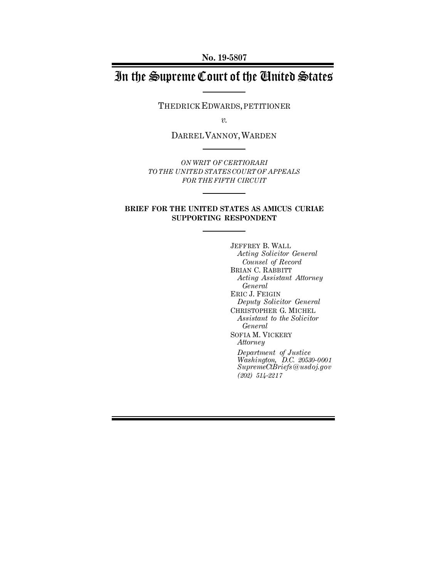**No. 19-5807**

# In the Supreme Court of the United States

THEDRICK EDWARDS,PETITIONER

*v.*

DARREL VANNOY,WARDEN

*ON WRIT OF CERTIORARI TO THE UNITED STATESCOURT OF APPEALS FOR THE FIFTH CIRCUIT* 

#### **BRIEF FOR THE UNITED STATES AS AMICUS CURIAE SUPPORTING RESPONDENT**

JEFFREY B. WALL *Acting Solicitor General Counsel of Record* BRIAN C. RABBITT *Acting Assistant Attorney General* ERIC J. FEIGIN *Deputy Solicitor General* CHRISTOPHER G. MICHEL *Assistant to the Solicitor General* SOFIA M. VICKERY *Attorney Department of Justice Washington, D.C. 20530-0001 SupremeCtBriefs@usdoj.gov (202) 514-2217*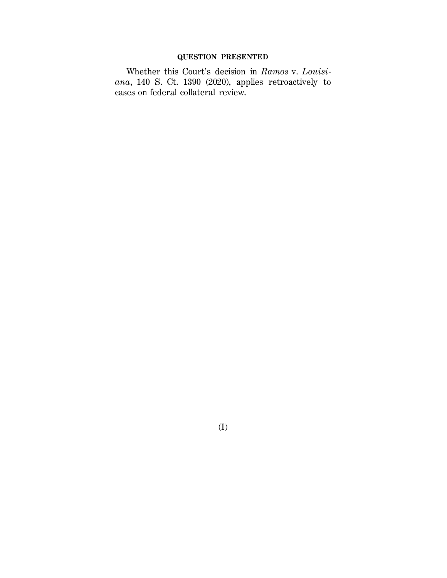### **QUESTION PRESENTED**

Whether this Court's decision in *Ramos* v. *Louisiana*, 140 S. Ct. 1390 (2020), applies retroactively to cases on federal collateral review.

(I)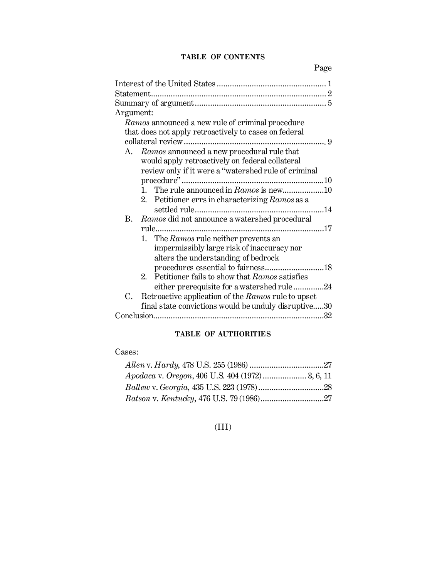### **TABLE OF CONTENTS**

Page

| Argument:                                                    |
|--------------------------------------------------------------|
| Ramos announced a new rule of criminal procedure             |
| that does not apply retroactively to cases on federal        |
|                                                              |
| A. Ramos announced a new procedural rule that                |
| would apply retroactively on federal collateral              |
| review only if it were a "watershed rule of criminal         |
|                                                              |
|                                                              |
| 2. Petitioner errs in characterizing Ramos as a              |
|                                                              |
| <b>B.</b><br>Ramos did not announce a watershed procedural   |
|                                                              |
| 1. The Ramos rule neither prevents an                        |
| impermissibly large risk of inaccuracy nor                   |
| alters the understanding of bedrock                          |
| procedures essential to fairness18                           |
| Petitioner fails to show that Ramos satisfies<br>$2^{\circ}$ |
| either prerequisite for a watershed rule24                   |
| Retroactive application of the Ramos rule to upset<br>C.     |
| final state convictions would be unduly disruptive30         |
|                                                              |

## **TABLE OF AUTHORITIES**

### Cases:

| Apodaca v. Oregon, 406 U.S. 404 (1972) 3, 6, 11 |  |
|-------------------------------------------------|--|
|                                                 |  |
|                                                 |  |

# (III)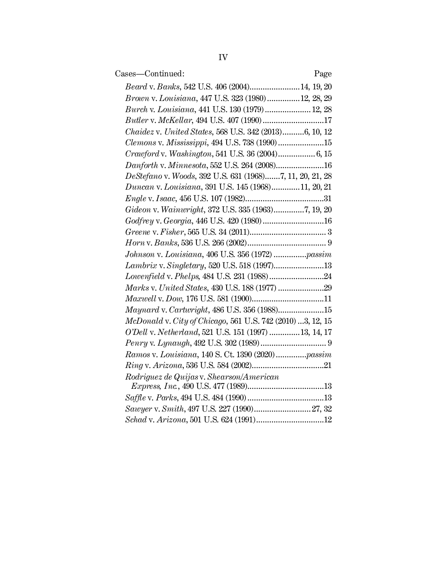| Cases—Continued:                                           | Page |
|------------------------------------------------------------|------|
| Beard v. Banks, 542 U.S. 406 (2004) 14, 19, 20             |      |
| Brown v. Louisiana, 447 U.S. 323 (1980)12, 28, 29          |      |
| Burch v. Louisiana, 441 U.S. 130 (1979) 12, 28             |      |
| Butler v. McKellar, 494 U.S. 407 (1990)17                  |      |
| Chaidez v. United States, 568 U.S. 342 (2013)6, 10, 12     |      |
| Clemons v. Mississippi, 494 U.S. 738 (1990)15              |      |
|                                                            |      |
| Danforth v. Minnesota, 552 U.S. 264 (2008)16               |      |
| DeStefano v. Woods, 392 U.S. 631 (1968)7, 11, 20, 21, 28   |      |
| Duncan v. Louisiana, 391 U.S. 145 (1968)11, 20, 21         |      |
|                                                            |      |
| Gideon v. Wainwright, 372 U.S. 335 (1963)7, 19, 20         |      |
| Godfrey v. Georgia, 446 U.S. 420 (1980)16                  |      |
|                                                            |      |
|                                                            |      |
| Johnson v. Louisiana, 406 U.S. 356 (1972) passim           |      |
|                                                            |      |
|                                                            |      |
|                                                            |      |
|                                                            |      |
| Maynard v. Cartwright, 486 U.S. 356 (1988)15               |      |
| McDonald v. City of Chicago, 561 U.S. 742 (2010) 3, 12, 15 |      |
| O'Dell v. Netherland, 521 U.S. 151 (1997)  13, 14, 17      |      |
|                                                            |      |
| Ramos v. Louisiana, 140 S. Ct. 1390 (2020) passim          |      |
|                                                            |      |
| Rodriguez de Quijas v. Shearson/American                   |      |
|                                                            |      |
|                                                            |      |
|                                                            |      |
|                                                            |      |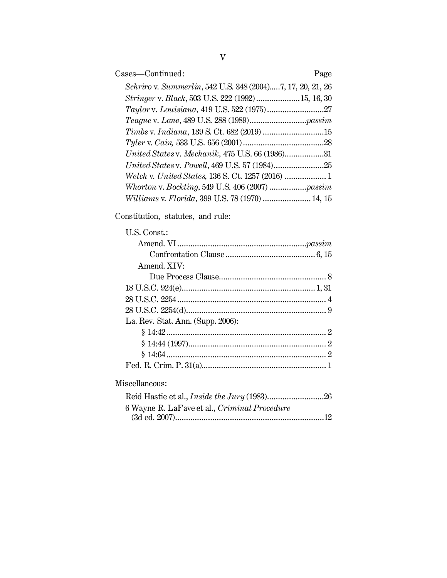| Cases-Continued:<br>Page                                   |
|------------------------------------------------------------|
| Schriro v. Summerlin, 542 U.S. 348 (2004)7, 17, 20, 21, 26 |
| <i>Stringer v. Black</i> , 503 U.S. 222 (1992) 15, 16, 30  |
|                                                            |
|                                                            |
| Timbs v. Indiana, 139 S. Ct. 682 (2019) 15                 |
|                                                            |
| United States v. Mechanik, 475 U.S. 66 (1986)31            |
|                                                            |
|                                                            |
|                                                            |
| Williams v. Florida, 399 U.S. 78 (1970)  14, 15            |

# Constitution, statutes, and rule:

| $U.S.$ Const.:                    |  |
|-----------------------------------|--|
|                                   |  |
|                                   |  |
| Amend, XIV:                       |  |
|                                   |  |
|                                   |  |
|                                   |  |
|                                   |  |
| La. Rev. Stat. Ann. (Supp. 2006): |  |
|                                   |  |
|                                   |  |
|                                   |  |
|                                   |  |
|                                   |  |

# Miscellaneous:

| 6 Wayne R. LaFave et al., Criminal Procedure |  |
|----------------------------------------------|--|
|                                              |  |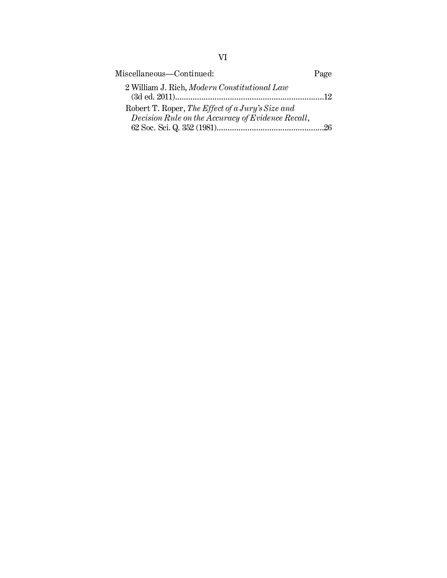| Miscellaneous-Continued:                          | Page |
|---------------------------------------------------|------|
| 2 William J. Rich, Modern Constitutional Law      | - 12 |
| Robert T. Roper, The Effect of a Jury's Size and  |      |
| Decision Rule on the Accuracy of Evidence Recall, | 26   |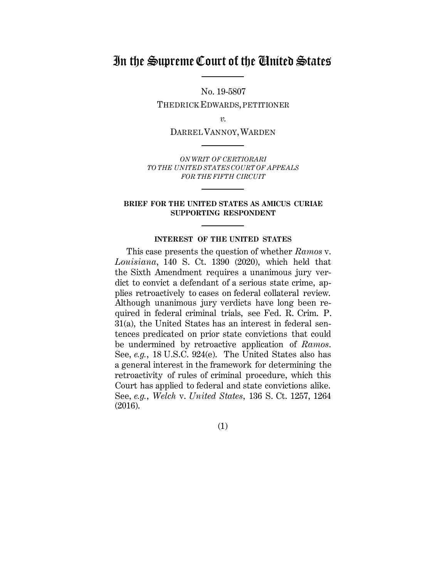# In the Supreme Court of the United States

No. 19-5807 THEDRICK EDWARDS,PETITIONER

*v.*

DARREL VANNOY,WARDEN

*ON WRIT OF CERTIORARI TO THE UNITED STATESCOURT OF APPEALS FOR THE FIFTH CIRCUIT*

#### **BRIEF FOR THE UNITED STATES AS AMICUS CURIAE SUPPORTING RESPONDENT**

#### **INTEREST OF THE UNITED STATES**

This case presents the question of whether *Ramos* v. *Louisiana*, 140 S. Ct. 1390 (2020), which held that the Sixth Amendment requires a unanimous jury verdict to convict a defendant of a serious state crime, applies retroactively to cases on federal collateral review. Although unanimous jury verdicts have long been required in federal criminal trials, see Fed. R. Crim. P. 31(a), the United States has an interest in federal sentences predicated on prior state convictions that could be undermined by retroactive application of *Ramos*. See, *e.g.*, 18 U.S.C. 924(e). The United States also has a general interest in the framework for determining the retroactivity of rules of criminal procedure, which this Court has applied to federal and state convictions alike. See, *e.g.*, *Welch* v. *United States*, 136 S. Ct. 1257, 1264 (2016).

(1)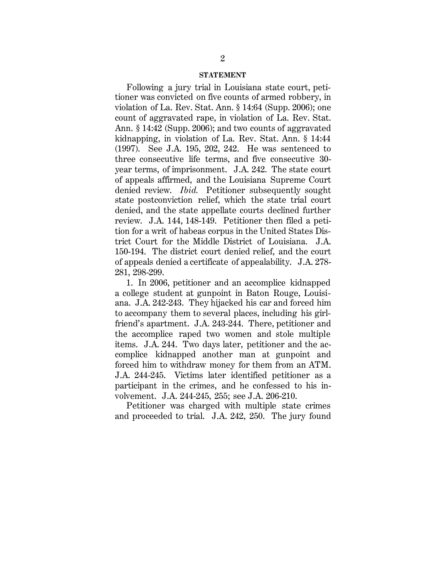#### **STATEMENT**

Following a jury trial in Louisiana state court, petitioner was convicted on five counts of armed robbery, in violation of La. Rev. Stat. Ann. § 14:64 (Supp. 2006); one count of aggravated rape, in violation of La. Rev. Stat. Ann. § 14:42 (Supp. 2006); and two counts of aggravated kidnapping, in violation of La. Rev. Stat. Ann. § 14:44 (1997). See J.A. 195, 202, 242. He was sentenced to three consecutive life terms, and five consecutive 30 year terms, of imprisonment. J.A. 242.The state court of appeals affirmed, and the Louisiana Supreme Court denied review. *Ibid.* Petitioner subsequently sought state postconviction relief, which the state trial court denied, and the state appellate courts declined further review. J.A. 144, 148-149. Petitioner then filed a petition for a writ of habeas corpus in the United States District Court for the Middle District of Louisiana. J.A. 150-194. The district court denied relief, and the court of appeals denied a certificate of appealability. J.A. 278- 281, 298-299.

1. In 2006, petitioner and an accomplice kidnapped a college student at gunpoint in Baton Rouge, Louisiana. J.A. 242-243. They hijacked his car and forced him to accompany them to several places, including his girlfriend's apartment. J.A. 243-244. There, petitioner and the accomplice raped two women and stole multiple items. J.A. 244. Two days later, petitioner and the accomplice kidnapped another man at gunpoint and forced him to withdraw money for them from an ATM. J.A. 244-245. Victims later identified petitioner as a participant in the crimes, and he confessed to his involvement. J.A. 244-245, 255; see J.A. 206-210.

Petitioner was charged with multiple state crimes and proceeded to trial. J.A. 242, 250. The jury found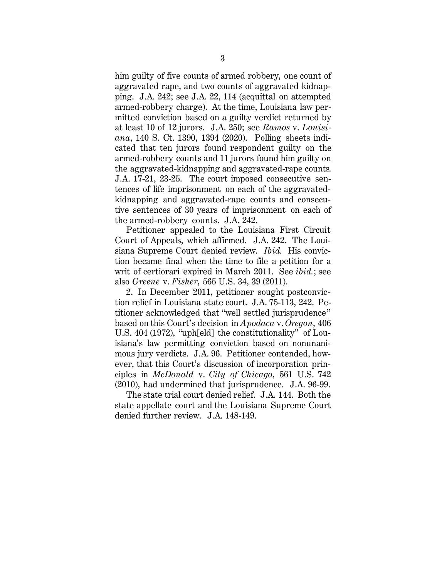him guilty of five counts of armed robbery, one count of aggravated rape, and two counts of aggravated kidnapping. J.A. 242; see J.A. 22, 114 (acquittal on attempted armed-robbery charge). At the time, Louisiana law permitted conviction based on a guilty verdict returned by at least 10 of 12 jurors. J.A. 250; see *Ramos* v. *Louisiana*, 140 S. Ct. 1390, 1394 (2020). Polling sheets indicated that ten jurors found respondent guilty on the armed-robbery counts and 11 jurors found him guilty on the aggravated-kidnapping and aggravated-rape counts. J.A. 17-21, 23-25. The court imposed consecutive sentences of life imprisonment on each of the aggravatedkidnapping and aggravated-rape counts and consecutive sentences of 30 years of imprisonment on each of the armed-robbery counts. J.A. 242.

Petitioner appealed to the Louisiana First Circuit Court of Appeals, which affirmed. J.A. 242. The Louisiana Supreme Court denied review. *Ibid.* His conviction became final when the time to file a petition for a writ of certiorari expired in March 2011. See *ibid.*; see also *Greene* v. *Fisher*, 565 U.S. 34, 39 (2011).

2. In December 2011, petitioner sought postconviction relief in Louisiana state court. J.A. 75-113, 242. Petitioner acknowledged that "well settled jurisprudence" based on this Court's decision in *Apodaca* v. *Oregon*, 406 U.S. 404 (1972), "uph[eld] the constitutionality" of Louisiana's law permitting conviction based on nonunanimous jury verdicts. J.A. 96. Petitioner contended, however, that this Court's discussion of incorporation principles in *McDonald* v. *City of Chicago*, 561 U.S. 742 (2010), had undermined that jurisprudence. J.A. 96-99.

The state trial court denied relief. J.A. 144. Both the state appellate court and the Louisiana Supreme Court denied further review. J.A. 148-149.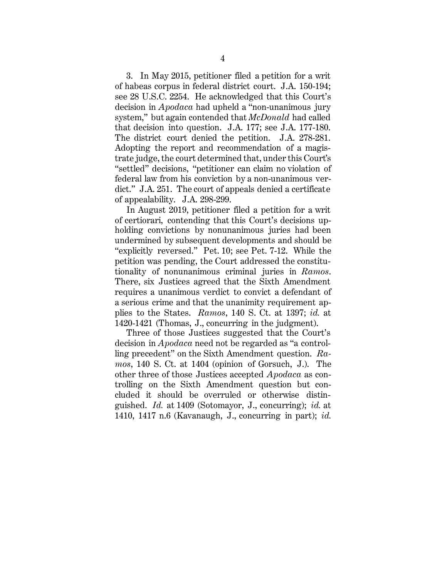3. In May 2015, petitioner filed a petition for a writ of habeas corpus in federal district court. J.A. 150-194; see 28 U.S.C. 2254. He acknowledged that this Court's decision in *Apodaca* had upheld a "non-unanimous jury system," but again contended that *McDonald* had called that decision into question. J.A. 177; see J.A. 177-180. The district court denied the petition. J.A. 278-281. Adopting the report and recommendation of a magistrate judge, the court determined that, under this Court's "settled" decisions, "petitioner can claim no violation of federal law from his conviction by a non-unanimous verdict." J.A. 251. The court of appeals denied a certificate of appealability. J.A. 298-299.

In August 2019, petitioner filed a petition for a writ of certiorari, contending that this Court's decisions upholding convictions by nonunanimous juries had been undermined by subsequent developments and should be "explicitly reversed." Pet. 10; see Pet. 7-12. While the petition was pending, the Court addressed the constitutionality of nonunanimous criminal juries in *Ramos*. There, six Justices agreed that the Sixth Amendment requires a unanimous verdict to convict a defendant of a serious crime and that the unanimity requirement applies to the States. *Ramos*, 140 S. Ct. at 1397; *id.* at 1420-1421 (Thomas, J., concurring in the judgment).

Three of those Justices suggested that the Court's decision in *Apodaca* need not be regarded as "a controlling precedent" on the Sixth Amendment question. *Ramos*, 140 S. Ct. at 1404 (opinion of Gorsuch, J.). The other three of those Justices accepted *Apodaca* as controlling on the Sixth Amendment question but concluded it should be overruled or otherwise distinguished. *Id.* at 1409 (Sotomayor, J., concurring); *id.* at 1410, 1417 n.6 (Kavanaugh, J., concurring in part); *id.*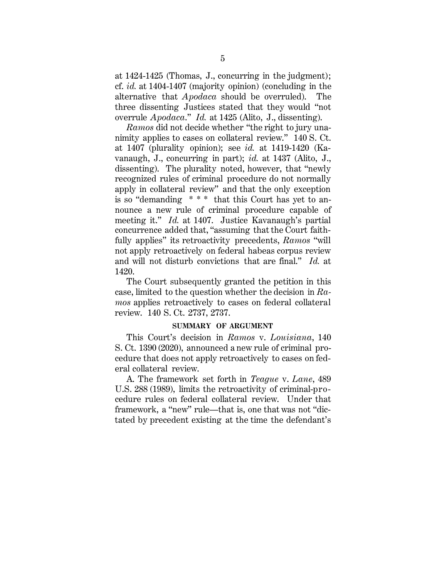at 1424-1425 (Thomas, J., concurring in the judgment); cf. *id.* at 1404-1407 (majority opinion) (concluding in the alternative that *Apodaca* should be overruled). The three dissenting Justices stated that they would "not overrule *Apodaca*." *Id.* at 1425 (Alito, J., dissenting).

*Ramos* did not decide whether "the right to jury unanimity applies to cases on collateral review." 140 S. Ct. at 1407 (plurality opinion); see *id.* at 1419-1420 (Kavanaugh, J., concurring in part); *id.* at 1437 (Alito, J., dissenting). The plurality noted, however, that "newly recognized rules of criminal procedure do not normally apply in collateral review" and that the only exception is so "demanding  $***$  that this Court has yet to announce a new rule of criminal procedure capable of meeting it." *Id.* at 1407. Justice Kavanaugh's partial concurrence added that, "assuming that the Court faithfully applies" its retroactivity precedents, *Ramos* "will not apply retroactively on federal habeas corpus review and will not disturb convictions that are final." *Id.* at 1420.

The Court subsequently granted the petition in this case, limited to the question whether the decision in *Ramos* applies retroactively to cases on federal collateral review. 140 S. Ct. 2737, 2737.

#### **SUMMARY OF ARGUMENT**

This Court's decision in *Ramos* v. *Louisiana*, 140 S. Ct. 1390 (2020), announced a new rule of criminal procedure that does not apply retroactively to cases on federal collateral review.

A. The framework set forth in *Teague* v. *Lane*, 489 U.S. 288 (1989), limits the retroactivity of criminal-procedure rules on federal collateral review. Under that framework, a "new" rule—that is, one that was not "dictated by precedent existing at the time the defendant's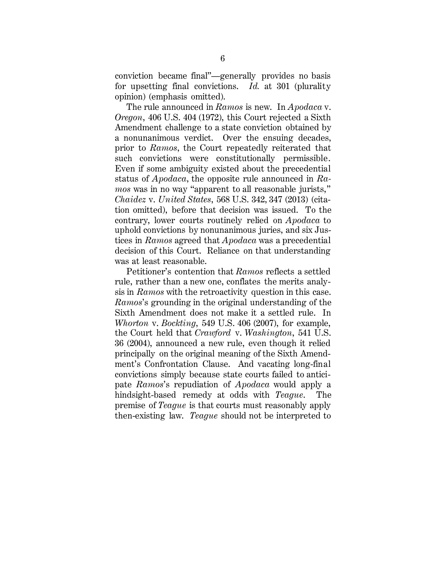conviction became final"—generally provides no basis for upsetting final convictions. *Id.* at 301 (plurality opinion) (emphasis omitted).

The rule announced in *Ramos* is new. In *Apodaca* v. *Oregon*, 406 U.S. 404 (1972), this Court rejected a Sixth Amendment challenge to a state conviction obtained by a nonunanimous verdict. Over the ensuing decades, prior to *Ramos*, the Court repeatedly reiterated that such convictions were constitutionally permissible. Even if some ambiguity existed about the precedential status of *Apodaca*, the opposite rule announced in *Ramos* was in no way "apparent to all reasonable jurists," *Chaidez* v. *United States*, 568 U.S. 342, 347 (2013) (citation omitted), before that decision was issued. To the contrary, lower courts routinely relied on *Apodaca* to uphold convictions by nonunanimous juries, and six Justices in *Ramos* agreed that *Apodaca* was a precedential decision of this Court. Reliance on that understanding was at least reasonable.

Petitioner's contention that *Ramos* reflects a settled rule, rather than a new one, conflates the merits analysis in *Ramos* with the retroactivity question in this case. *Ramos*'s grounding in the original understanding of the Sixth Amendment does not make it a settled rule. In *Whorton* v. *Bockting*, 549 U.S. 406 (2007), for example, the Court held that *Crawford* v. *Washington*, 541 U.S. 36 (2004), announced a new rule, even though it relied principally on the original meaning of the Sixth Amendment's Confrontation Clause. And vacating long-final convictions simply because state courts failed to anticipate *Ramos*'s repudiation of *Apodaca* would apply a hindsight-based remedy at odds with *Teague*. The premise of *Teague* is that courts must reasonably apply then-existing law. *Teague* should not be interpreted to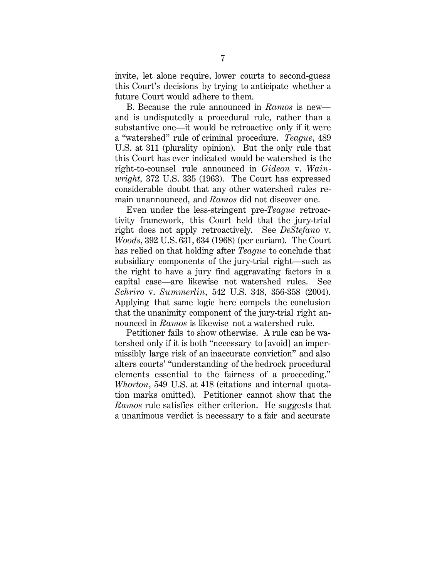invite, let alone require, lower courts to second-guess this Court's decisions by trying to anticipate whether a future Court would adhere to them.

B. Because the rule announced in *Ramos* is new and is undisputedly a procedural rule, rather than a substantive one—it would be retroactive only if it were a "watershed" rule of criminal procedure. *Teague*, 489 U.S. at 311 (plurality opinion). But the only rule that this Court has ever indicated would be watershed is the right-to-counsel rule announced in *Gideon* v. *Wainwright*, 372 U.S. 335 (1963). The Court has expressed considerable doubt that any other watershed rules remain unannounced, and *Ramos* did not discover one.

Even under the less-stringent pre-*Teague* retroactivity framework, this Court held that the jury-trial right does not apply retroactively. See *DeStefano* v. *Woods*, 392 U.S. 631, 634 (1968) (per curiam). The Court has relied on that holding after *Teague* to conclude that subsidiary components of the jury-trial right—such as the right to have a jury find aggravating factors in a capital case—are likewise not watershed rules. See *Schriro* v. *Summerlin*, 542 U.S. 348, 356-358 (2004). Applying that same logic here compels the conclusion that the unanimity component of the jury-trial right announced in *Ramos* is likewise not a watershed rule.

Petitioner fails to show otherwise. A rule can be watershed only if it is both "necessary to [avoid] an impermissibly large risk of an inaccurate conviction" and also alters courts' "understanding of the bedrock procedural elements essential to the fairness of a proceeding." *Whorton*, 549 U.S. at 418 (citations and internal quotation marks omitted). Petitioner cannot show that the *Ramos* rule satisfies either criterion. He suggests that a unanimous verdict is necessary to a fair and accurate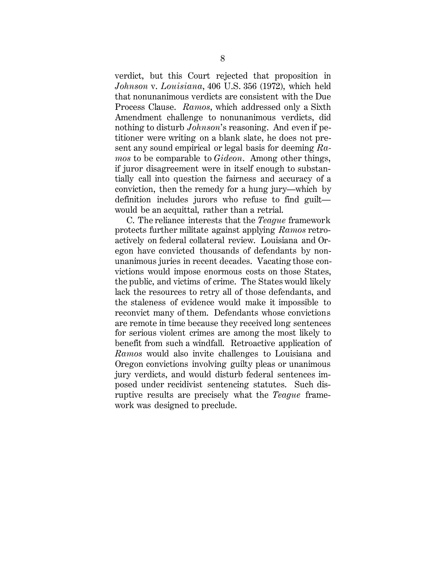verdict, but this Court rejected that proposition in *Johnson* v. *Louisiana*, 406 U.S. 356 (1972), which held that nonunanimous verdicts are consistent with the Due Process Clause. *Ramos*, which addressed only a Sixth Amendment challenge to nonunanimous verdicts, did nothing to disturb *Johnson*'s reasoning. And even if petitioner were writing on a blank slate, he does not present any sound empirical or legal basis for deeming *Ramos* to be comparable to *Gideon*. Among other things, if juror disagreement were in itself enough to substantially call into question the fairness and accuracy of a conviction, then the remedy for a hung jury—which by definition includes jurors who refuse to find guilt would be an acquittal, rather than a retrial.

C. The reliance interests that the *Teague* framework protects further militate against applying *Ramos* retroactively on federal collateral review. Louisiana and Oregon have convicted thousands of defendants by nonunanimous juries in recent decades. Vacating those convictions would impose enormous costs on those States, the public, and victims of crime. The States would likely lack the resources to retry all of those defendants, and the staleness of evidence would make it impossible to reconvict many of them. Defendants whose convictions are remote in time because they received long sentences for serious violent crimes are among the most likely to benefit from such a windfall. Retroactive application of *Ramos* would also invite challenges to Louisiana and Oregon convictions involving guilty pleas or unanimous jury verdicts, and would disturb federal sentences imposed under recidivist sentencing statutes. Such disruptive results are precisely what the *Teague* framework was designed to preclude.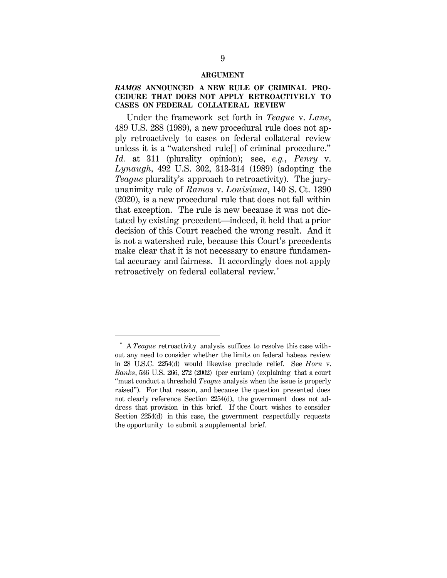#### **ARGUMENT**

#### *RAMOS* **ANNOUNCED A NEW RULE OF CRIMINAL PRO-CEDURE THAT DOES NOT APPLY RETROACTIVELY TO CASES ON FEDERAL COLLATERAL REVIEW**

Under the framework set forth in *Teague* v. *Lane*, 489 U.S. 288 (1989), a new procedural rule does not apply retroactively to cases on federal collateral review unless it is a "watershed rule[] of criminal procedure." *Id.* at 311 (plurality opinion); see, *e.g.*, *Penry* v. *Lynaugh*, 492 U.S. 302, 313-314 (1989) (adopting the *Teague* plurality's approach to retroactivity). The juryunanimity rule of *Ramos* v. *Louisiana*, 140 S. Ct. 1390 (2020), is a new procedural rule that does not fall within that exception. The rule is new because it was not dictated by existing precedent—indeed, it held that a prior decision of this Court reached the wrong result. And it is not a watershed rule, because this Court's precedents make clear that it is not necessary to ensure fundamental accuracy and fairness. It accordingly does not apply retroactively on federal collateral review. \*

l

<sup>\*</sup> A *Teague* retroactivity analysis suffices to resolve this case without any need to consider whether the limits on federal habeas review in 28 U.S.C. 2254(d) would likewise preclude relief. See *Horn* v. *Banks*, 536 U.S. 266, 272 (2002) (per curiam) (explaining that a court "must conduct a threshold *Teague* analysis when the issue is properly raised"). For that reason, and because the question presented does not clearly reference Section 2254(d), the government does not address that provision in this brief. If the Court wishes to consider Section 2254(d) in this case, the government respectfully requests the opportunity to submit a supplemental brief.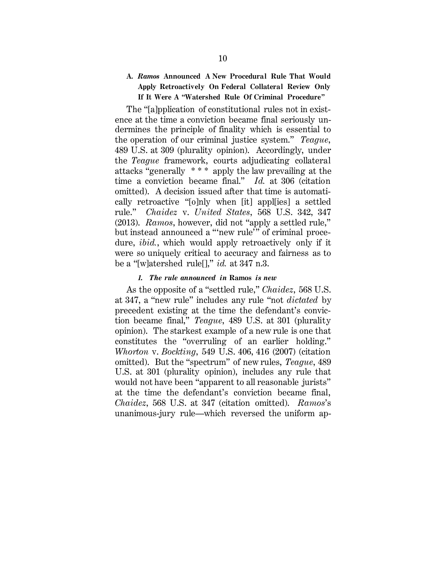### **A.** *Ramos* **Announced A New Procedural Rule That Would Apply Retroactively On Federal Collateral Review Only If It Were A "Watershed Rule Of Criminal Procedure"**

The "[a]pplication of constitutional rules not in existence at the time a conviction became final seriously undermines the principle of finality which is essential to the operation of our criminal justice system." *Teague*, 489 U.S. at 309 (plurality opinion). Accordingly, under the *Teague* framework, courts adjudicating collateral attacks "generally \* \* \* apply the law prevailing at the time a conviction became final." *Id.* at 306 (citation omitted). A decision issued after that time is automatically retroactive "[o]nly when [it] appl[ies] a settled rule." *Chaidez* v. *United States*, 568 U.S. 342, 347 (2013). *Ramos*, however, did not "apply a settled rule," but instead announced a "'new rule'" of criminal procedure, *ibid.*, which would apply retroactively only if it were so uniquely critical to accuracy and fairness as to be a "[w]atershed rule[]," *id.* at 347 n.3.

#### *1. The rule announced in* **Ramos** *is new*

As the opposite of a "settled rule," *Chaidez*, 568 U.S. at 347, a "new rule" includes any rule "not *dictated* by precedent existing at the time the defendant's conviction became final," *Teague*, 489 U.S. at 301 (plurality opinion). The starkest example of a new rule is one that constitutes the "overruling of an earlier holding." *Whorton* v. *Bockting*, 549 U.S. 406, 416 (2007) (citation omitted). But the "spectrum" of new rules, *Teague*, 489 U.S. at 301 (plurality opinion), includes any rule that would not have been "apparent to all reasonable jurists" at the time the defendant's conviction became final, *Chaidez*, 568 U.S. at 347 (citation omitted). *Ramos*'s unanimous-jury rule—which reversed the uniform ap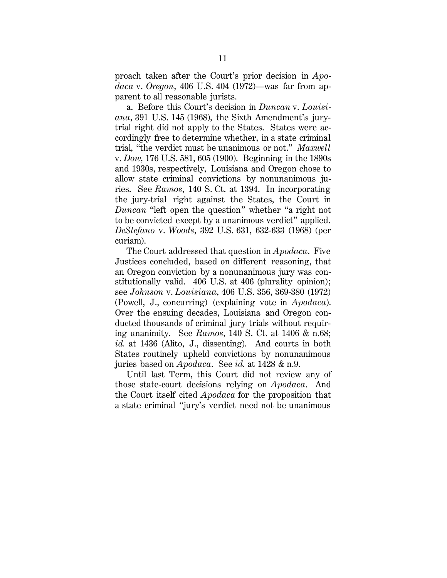proach taken after the Court's prior decision in *Apodaca* v. *Oregon*, 406 U.S. 404 (1972)—was far from apparent to all reasonable jurists.

a. Before this Court's decision in *Duncan* v. *Louisiana*, 391 U.S. 145 (1968), the Sixth Amendment's jurytrial right did not apply to the States. States were accordingly free to determine whether, in a state criminal trial, "the verdict must be unanimous or not." *Maxwell* v. *Dow*, 176 U.S. 581, 605 (1900). Beginning in the 1890s and 1930s, respectively, Louisiana and Oregon chose to allow state criminal convictions by nonunanimous juries. See *Ramos*, 140 S. Ct. at 1394. In incorporating the jury-trial right against the States, the Court in *Duncan* "left open the question" whether "a right not to be convicted except by a unanimous verdict" applied. *DeStefano* v. *Woods*, 392 U.S. 631, 632-633 (1968) (per curiam).

The Court addressed that question in *Apodaca*. Five Justices concluded, based on different reasoning, that an Oregon conviction by a nonunanimous jury was constitutionally valid. 406 U.S. at 406 (plurality opinion); see *Johnson* v. *Louisiana*, 406 U.S. 356, 369-380 (1972) (Powell, J., concurring) (explaining vote in *Apodaca*). Over the ensuing decades, Louisiana and Oregon conducted thousands of criminal jury trials without requiring unanimity. See *Ramos*, 140 S. Ct. at 1406 & n.68; *id.* at 1436 (Alito, J., dissenting). And courts in both States routinely upheld convictions by nonunanimous juries based on *Apodaca*. See *id.* at 1428 & n.9.

Until last Term, this Court did not review any of those state-court decisions relying on *Apodaca*. And the Court itself cited *Apodaca* for the proposition that a state criminal "jury's verdict need not be unanimous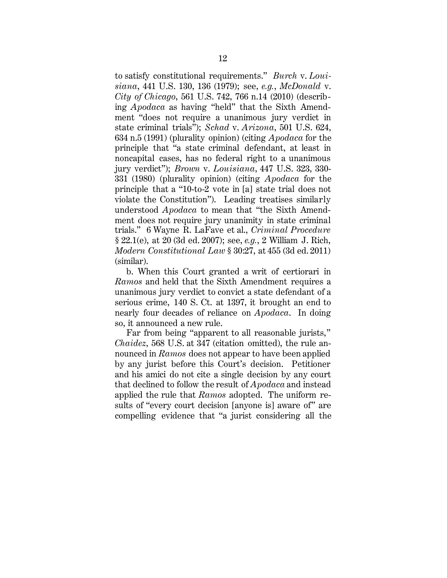to satisfy constitutional requirements." *Burch* v. *Louisiana*, 441 U.S. 130, 136 (1979); see, *e.g.*, *McDonald* v. *City of Chicago*, 561 U.S. 742, 766 n.14 (2010) (describing *Apodaca* as having "held" that the Sixth Amendment "does not require a unanimous jury verdict in state criminal trials"); *Schad* v. *Arizona*, 501 U.S. 624, 634 n.5 (1991) (plurality opinion) (citing *Apodaca* for the principle that "a state criminal defendant, at least in noncapital cases, has no federal right to a unanimous jury verdict"); *Brown* v. *Louisiana*, 447 U.S. 323, 330- 331 (1980) (plurality opinion) (citing *Apodaca* for the principle that a "10-to-2 vote in [a] state trial does not violate the Constitution"). Leading treatises similarly understood *Apodaca* to mean that "the Sixth Amendment does not require jury unanimity in state criminal trials." 6 Wayne R. LaFave et al., *Criminal Procedure* § 22.1(e), at 20 (3d ed. 2007); see, *e.g.*, 2 William J. Rich, *Modern Constitutional Law* § 30:27, at 455 (3d ed. 2011) (similar).

b. When this Court granted a writ of certiorari in *Ramos* and held that the Sixth Amendment requires a unanimous jury verdict to convict a state defendant of a serious crime, 140 S. Ct. at 1397, it brought an end to nearly four decades of reliance on *Apodaca*. In doing so, it announced a new rule.

Far from being "apparent to all reasonable jurists," *Chaidez*, 568 U.S. at 347 (citation omitted), the rule announced in *Ramos* does not appear to have been applied by any jurist before this Court's decision. Petitioner and his amici do not cite a single decision by any court that declined to follow the result of *Apodaca* and instead applied the rule that *Ramos* adopted. The uniform results of "every court decision [anyone is] aware of" are compelling evidence that "a jurist considering all the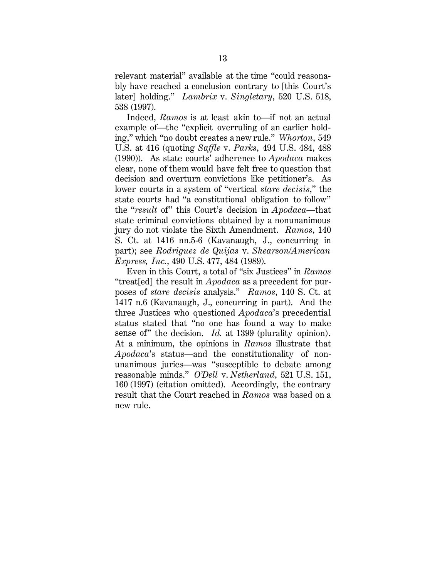relevant material" available at the time "could reasonably have reached a conclusion contrary to [this Court's later] holding." *Lambrix* v. *Singletary*, 520 U.S. 518, 538 (1997).

Indeed, *Ramos* is at least akin to—if not an actual example of—the "explicit overruling of an earlier holding," which "no doubt creates a new rule." *Whorton*, 549 U.S. at 416 (quoting *Saffle* v. *Parks*, 494 U.S. 484, 488 (1990)). As state courts' adherence to *Apodaca* makes clear, none of them would have felt free to question that decision and overturn convictions like petitioner's. As lower courts in a system of "vertical *stare decisis*," the state courts had "a constitutional obligation to follow" the "*result* of" this Court's decision in *Apodaca*—that state criminal convictions obtained by a nonunanimous jury do not violate the Sixth Amendment. *Ramos*, 140 S. Ct. at 1416 nn.5-6 (Kavanaugh, J., concurring in part); see *Rodriguez de Quijas* v. *Shearson/American Express, Inc.*, 490 U.S. 477, 484 (1989).

Even in this Court, a total of "six Justices" in *Ramos* "treat[ed] the result in *Apodaca* as a precedent for purposes of *stare decisis* analysis." *Ramos*, 140 S. Ct. at 1417 n.6 (Kavanaugh, J., concurring in part). And the three Justices who questioned *Apodaca*'s precedential status stated that "no one has found a way to make sense of" the decision. *Id.* at 1399 (plurality opinion). At a minimum, the opinions in *Ramos* illustrate that *Apodaca*'s status—and the constitutionality of nonunanimous juries—was "susceptible to debate among reasonable minds." *O'Dell* v. *Netherland*, 521 U.S. 151, 160 (1997) (citation omitted). Accordingly, the contrary result that the Court reached in *Ramos* was based on a new rule.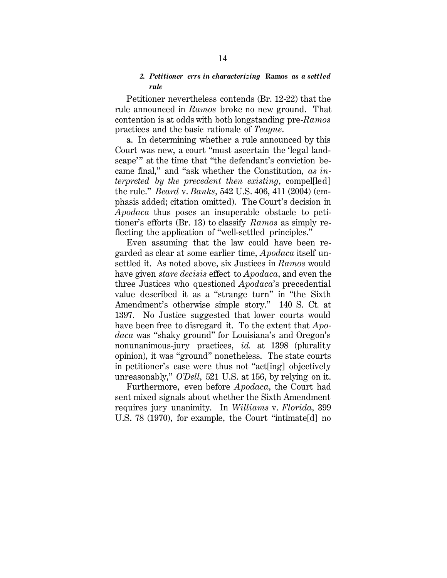#### *2. Petitioner errs in characterizing* **Ramos** *as a settled rule*

Petitioner nevertheless contends (Br. 12-22) that the rule announced in *Ramos* broke no new ground. That contention is at odds with both longstanding pre-*Ramos*  practices and the basic rationale of *Teague*.

a. In determining whether a rule announced by this Court was new, a court "must ascertain the 'legal landscape'" at the time that "the defendant's conviction became final," and "ask whether the Constitution, *as interpreted by the precedent then existing*, compel[led] the rule." *Beard* v. *Banks*, 542 U.S. 406, 411 (2004) (emphasis added; citation omitted). The Court's decision in *Apodaca* thus poses an insuperable obstacle to petitioner's efforts (Br. 13) to classify *Ramos* as simply reflecting the application of "well-settled principles."

Even assuming that the law could have been regarded as clear at some earlier time, *Apodaca* itself unsettled it. As noted above, six Justices in *Ramos* would have given *stare decisis* effect to *Apodaca*, and even the three Justices who questioned *Apodaca*'s precedential value described it as a "strange turn" in "the Sixth Amendment's otherwise simple story." 140 S. Ct*.* at 1397. No Justice suggested that lower courts would have been free to disregard it. To the extent that *Apodaca* was "shaky ground" for Louisiana's and Oregon's nonunanimous-jury practices, *id.* at 1398 (plurality opinion), it was "ground" nonetheless. The state courts in petitioner's case were thus not "act[ing] objectively unreasonably," *O'Dell*, 521 U.S. at 156, by relying on it.

Furthermore, even before *Apodaca*, the Court had sent mixed signals about whether the Sixth Amendment requires jury unanimity. In *Williams* v. *Florida*, 399 U.S. 78 (1970), for example, the Court "intimate[d] no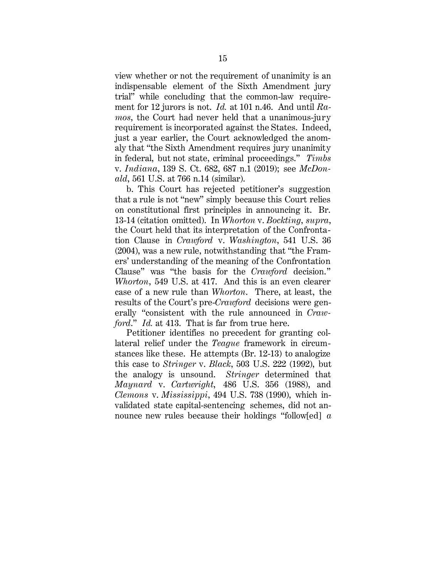view whether or not the requirement of unanimity is an indispensable element of the Sixth Amendment jury trial" while concluding that the common-law requirement for 12 jurors is not. *Id.* at 101 n.46. And until *Ramos*, the Court had never held that a unanimous-jury requirement is incorporated against the States. Indeed, just a year earlier, the Court acknowledged the anomaly that "the Sixth Amendment requires jury unanimity in federal, but not state, criminal proceedings." *Timbs* v. *Indiana*, 139 S. Ct. 682, 687 n.1 (2019); see *McDonald*, 561 U.S. at 766 n.14 (similar).

b. This Court has rejected petitioner's suggestion that a rule is not "new" simply because this Court relies on constitutional first principles in announcing it. Br. 13-14 (citation omitted). In *Whorton* v. *Bockting*, *supra*, the Court held that its interpretation of the Confrontation Clause in *Crawford* v. *Washington*, 541 U.S. 36 (2004), was a new rule, notwithstanding that "the Framers' understanding of the meaning of the Confrontation Clause" was "the basis for the *Crawford* decision." *Whorton*, 549 U.S. at 417. And this is an even clearer case of a new rule than *Whorton*. There, at least, the results of the Court's pre-*Crawford* decisions were generally "consistent with the rule announced in *Crawford*." *Id.* at 413. That is far from true here.

Petitioner identifies no precedent for granting collateral relief under the *Teague* framework in circumstances like these. He attempts (Br. 12-13) to analogize this case to *Stringer* v. *Black*, 503 U.S. 222 (1992), but the analogy is unsound. *Stringer* determined that *Maynard* v. *Cartwright*, 486 U.S. 356 (1988), and *Clemons* v. *Mississippi*, 494 U.S. 738 (1990), which invalidated state capital-sentencing schemes, did not announce new rules because their holdings "follow[ed] *a*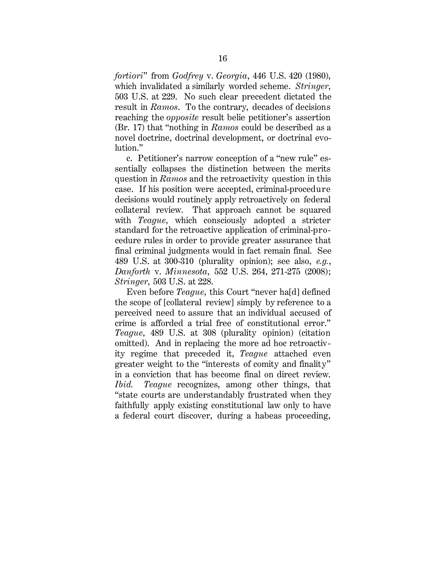*fortiori*" from *Godfrey* v. *Georgia*, 446 U.S. 420 (1980), which invalidated a similarly worded scheme. *Stringer*, 503 U.S. at 229. No such clear precedent dictated the result in *Ramos*. To the contrary, decades of decisions reaching the *opposite* result belie petitioner's assertion (Br. 17) that "nothing in *Ramos* could be described as a novel doctrine, doctrinal development, or doctrinal evolution."

c. Petitioner's narrow conception of a "new rule" essentially collapses the distinction between the merits question in *Ramos* and the retroactivity question in this case. If his position were accepted, criminal-procedure decisions would routinely apply retroactively on federal collateral review. That approach cannot be squared with *Teague*, which consciously adopted a stricter standard for the retroactive application of criminal-procedure rules in order to provide greater assurance that final criminal judgments would in fact remain final. See 489 U.S. at 300-310 (plurality opinion); see also, *e.g.*, *Danforth* v. *Minnesota*, 552 U.S. 264, 271-275 (2008); *Stringer*, 503 U.S. at 228.

Even before *Teague*, this Court "never ha[d] defined the scope of [collateral review] simply by reference to a perceived need to assure that an individual accused of crime is afforded a trial free of constitutional error." *Teague*, 489 U.S. at 308 (plurality opinion) (citation omitted). And in replacing the more ad hoc retroactivity regime that preceded it, *Teague* attached even greater weight to the "interests of comity and finality" in a conviction that has become final on direct review. *Ibid. Teague* recognizes, among other things, that "state courts are understandably frustrated when they faithfully apply existing constitutional law only to have a federal court discover, during a habeas proceeding,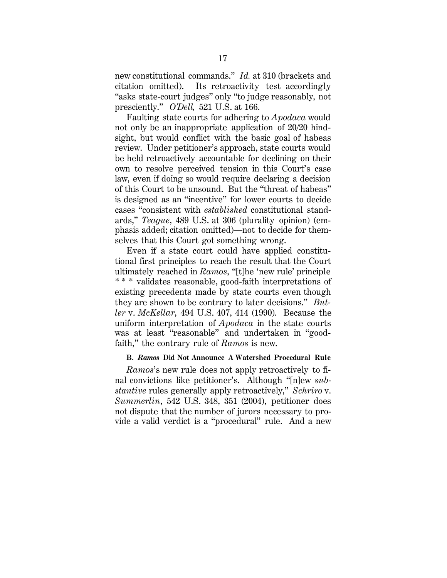new constitutional commands." *Id.* at 310 (brackets and citation omitted). Its retroactivity test accordingly "asks state-court judges" only "to judge reasonably, not presciently." *O'Dell,* 521 U.S. at 166.

Faulting state courts for adhering to *Apodaca* would not only be an inappropriate application of 20/20 hindsight, but would conflict with the basic goal of habeas review. Under petitioner's approach, state courts would be held retroactively accountable for declining on their own to resolve perceived tension in this Court's case law, even if doing so would require declaring a decision of this Court to be unsound. But the "threat of habeas" is designed as an "incentive" for lower courts to decide cases "consistent with *established* constitutional standards," *Teague*, 489 U.S. at 306 (plurality opinion) (emphasis added; citation omitted)—not to decide for themselves that this Court got something wrong.

Even if a state court could have applied constitutional first principles to reach the result that the Court ultimately reached in *Ramos*, "[t]he 'new rule' principle \* \* \* validates reasonable, good-faith interpretations of existing precedents made by state courts even though they are shown to be contrary to later decisions." *Butler* v. *McKellar*, 494 U.S. 407, 414 (1990). Because the uniform interpretation of *Apodaca* in the state courts was at least "reasonable" and undertaken in "goodfaith," the contrary rule of *Ramos* is new.

#### **B.** *Ramos* **Did Not Announce A Watershed Procedural Rule**

*Ramos*'s new rule does not apply retroactively to final convictions like petitioner's. Although "[n]ew *substantive* rules generally apply retroactively," *Schriro* v. *Summerlin*, 542 U.S. 348, 351 (2004), petitioner does not dispute that the number of jurors necessary to provide a valid verdict is a "procedural" rule. And a new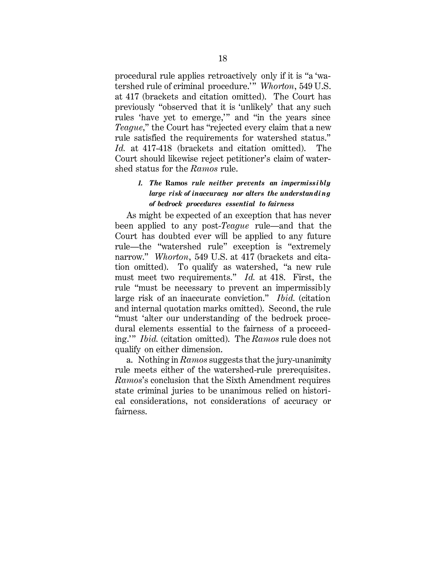procedural rule applies retroactively only if it is "a 'watershed rule of criminal procedure.'" *Whorton*, 549 U.S. at 417 (brackets and citation omitted). The Court has previously "observed that it is 'unlikely' that any such rules 'have yet to emerge,'" and "in the years since *Teague*," the Court has "rejected every claim that a new rule satisfied the requirements for watershed status." *Id.* at 417-418 (brackets and citation omitted). The Court should likewise reject petitioner's claim of watershed status for the *Ramos* rule.

### *1. The* **Ramos** *rule neither prevents an impermissibly large risk of inaccuracy nor alters the understanding of bedrock procedures essential to fairness*

As might be expected of an exception that has never been applied to any post-*Teague* rule—and that the Court has doubted ever will be applied to any future rule—the "watershed rule" exception is "extremely narrow." *Whorton*, 549 U.S. at 417 (brackets and citation omitted). To qualify as watershed, "a new rule must meet two requirements." *Id.* at 418. First, the rule "must be necessary to prevent an impermissibly large risk of an inaccurate conviction." *Ibid.* (citation and internal quotation marks omitted). Second, the rule "must 'alter our understanding of the bedrock procedural elements essential to the fairness of a proceeding.'" *Ibid.* (citation omitted). The *Ramos* rule does not qualify on either dimension.

a. Nothing in *Ramos* suggests that the jury-unanimity rule meets either of the watershed-rule prerequisites. *Ramos*'s conclusion that the Sixth Amendment requires state criminal juries to be unanimous relied on historical considerations, not considerations of accuracy or fairness.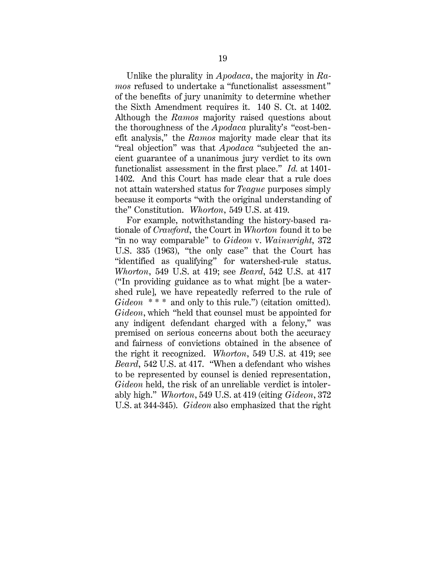Unlike the plurality in *Apodaca*, the majority in *Ramos* refused to undertake a "functionalist assessment" of the benefits of jury unanimity to determine whether the Sixth Amendment requires it. 140 S. Ct. at 1402. Although the *Ramos* majority raised questions about the thoroughness of the *Apodaca* plurality's "cost-benefit analysis," the *Ramos* majority made clear that its "real objection" was that *Apodaca* "subjected the ancient guarantee of a unanimous jury verdict to its own functionalist assessment in the first place." *Id.* at 1401- 1402. And this Court has made clear that a rule does not attain watershed status for *Teague* purposes simply because it comports "with the original understanding of the" Constitution. *Whorton*, 549 U.S. at 419.

For example, notwithstanding the history-based rationale of *Crawford*, the Court in *Whorton* found it to be "in no way comparable" to *Gideon* v. *Wainwright*, 372 U.S. 335 (1963), "the only case" that the Court has "identified as qualifying" for watershed-rule status. *Whorton*, 549 U.S. at 419; see *Beard*, 542 U.S. at 417 ("In providing guidance as to what might [be a watershed rule], we have repeatedly referred to the rule of Gideon \*\*\* and only to this rule.") (citation omitted). *Gideon*, which "held that counsel must be appointed for any indigent defendant charged with a felony," was premised on serious concerns about both the accuracy and fairness of convictions obtained in the absence of the right it recognized. *Whorton*, 549 U.S. at 419; see *Beard*, 542 U.S. at 417. "When a defendant who wishes to be represented by counsel is denied representation, *Gideon* held, the risk of an unreliable verdict is intolerably high." *Whorton*, 549 U.S. at 419 (citing *Gideon*, 372 U.S. at 344-345). *Gideon* also emphasized that the right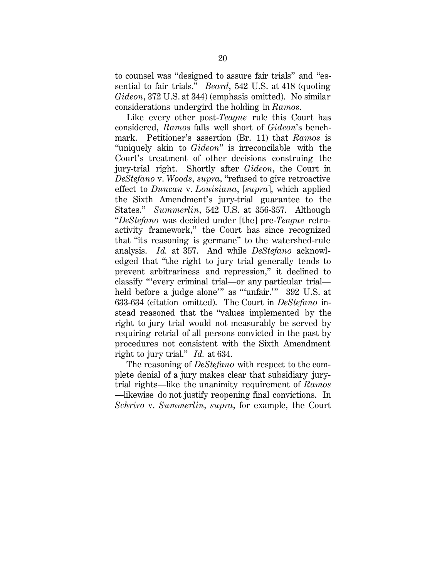to counsel was "designed to assure fair trials" and "essential to fair trials." *Beard*, 542 U.S. at 418 (quoting *Gideon*, 372 U.S. at 344) (emphasis omitted). No similar considerations undergird the holding in *Ramos*.

Like every other post-*Teague* rule this Court has considered, *Ramos* falls well short of *Gideon*'s benchmark. Petitioner's assertion (Br. 11) that *Ramos* is "uniquely akin to *Gideon*" is irreconcilable with the Court's treatment of other decisions construing the jury-trial right. Shortly after *Gideon*, the Court in *DeStefano* v. *Woods*, *supra*, "refused to give retroactive effect to *Duncan* v. *Louisiana*, [*supra*], which applied the Sixth Amendment's jury-trial guarantee to the States." *Summerlin*, 542 U.S. at 356-357. Although "*DeStefano* was decided under [the] pre-*Teague* retroactivity framework," the Court has since recognized that "its reasoning is germane" to the watershed-rule analysis. *Id.* at 357. And while *DeStefano* acknowledged that "the right to jury trial generally tends to prevent arbitrariness and repression," it declined to classify "'every criminal trial—or any particular trial held before a judge alone'" as "'unfair.'" 392 U.S. at 633-634 (citation omitted). The Court in *DeStefano* instead reasoned that the "values implemented by the right to jury trial would not measurably be served by requiring retrial of all persons convicted in the past by procedures not consistent with the Sixth Amendment right to jury trial." *Id.* at 634.

The reasoning of *DeStefano* with respect to the complete denial of a jury makes clear that subsidiary jurytrial rights—like the unanimity requirement of *Ramos* —likewise do not justify reopening final convictions. In *Schriro* v. *Summerlin*, *supra*, for example, the Court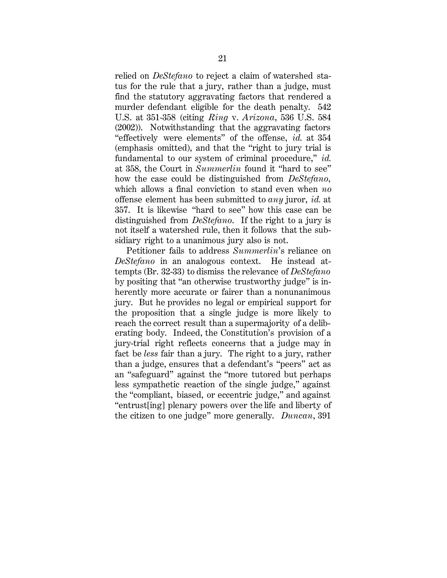relied on *DeStefano* to reject a claim of watershed status for the rule that a jury, rather than a judge, must find the statutory aggravating factors that rendered a murder defendant eligible for the death penalty. 542 U.S. at 351-358 (citing *Ring* v. *Arizona*, 536 U.S. 584 (2002)). Notwithstanding that the aggravating factors "effectively were elements" of the offense, *id.* at 354 (emphasis omitted), and that the "right to jury trial is fundamental to our system of criminal procedure," *id.* at 358, the Court in *Summerlin* found it "hard to see" how the case could be distinguished from *DeStefano*, which allows a final conviction to stand even when *no*  offense element has been submitted to *any* juror, *id.* at 357. It is likewise "hard to see" how this case can be distinguished from *DeStefano*. If the right to a jury is not itself a watershed rule, then it follows that the subsidiary right to a unanimous jury also is not.

Petitioner fails to address *Summerlin*'s reliance on *DeStefano* in an analogous context. He instead attempts (Br. 32-33) to dismiss the relevance of *DeStefano* by positing that "an otherwise trustworthy judge" is inherently more accurate or fairer than a nonunanimous jury. But he provides no legal or empirical support for the proposition that a single judge is more likely to reach the correct result than a supermajority of a deliberating body. Indeed, the Constitution's provision of a jury-trial right reflects concerns that a judge may in fact be *less* fair than a jury. The right to a jury, rather than a judge, ensures that a defendant's "peers" act as an "safeguard" against the "more tutored but perhaps less sympathetic reaction of the single judge," against the "compliant, biased, or eccentric judge," and against "entrust[ing] plenary powers over the life and liberty of the citizen to one judge" more generally. *Duncan*, 391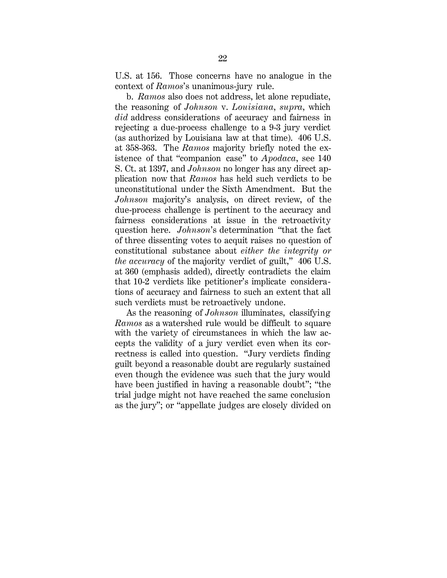U.S. at 156. Those concerns have no analogue in the context of *Ramos*'s unanimous-jury rule.

b. *Ramos* also does not address, let alone repudiate, the reasoning of *Johnson* v. *Louisiana*, *supra*, which *did* address considerations of accuracy and fairness in rejecting a due-process challenge to a 9-3 jury verdict (as authorized by Louisiana law at that time). 406 U.S. at 358-363. The *Ramos* majority briefly noted the existence of that "companion case" to *Apodaca*, see 140 S. Ct. at 1397, and *Johnson* no longer has any direct application now that *Ramos* has held such verdicts to be unconstitutional under the Sixth Amendment. But the *Johnson* majority's analysis, on direct review, of the due-process challenge is pertinent to the accuracy and fairness considerations at issue in the retroactivity question here. *Johnson*'s determination "that the fact of three dissenting votes to acquit raises no question of constitutional substance about *either the integrity or the accuracy* of the majority verdict of guilt," 406 U.S. at 360 (emphasis added), directly contradicts the claim that 10-2 verdicts like petitioner's implicate considerations of accuracy and fairness to such an extent that all such verdicts must be retroactively undone.

As the reasoning of *Johnson* illuminates, classifying *Ramos* as a watershed rule would be difficult to square with the variety of circumstances in which the law accepts the validity of a jury verdict even when its correctness is called into question. "Jury verdicts finding guilt beyond a reasonable doubt are regularly sustained even though the evidence was such that the jury would have been justified in having a reasonable doubt"; "the trial judge might not have reached the same conclusion as the jury"; or "appellate judges are closely divided on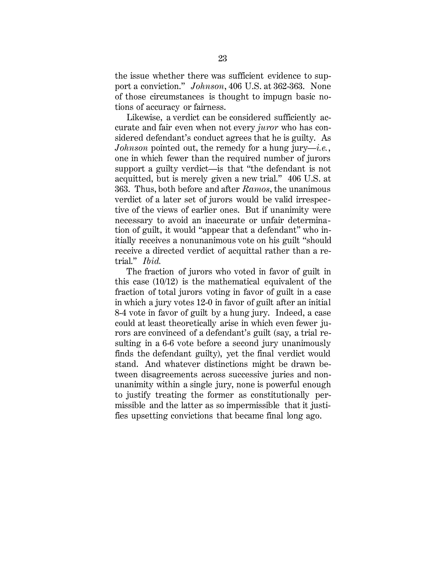the issue whether there was sufficient evidence to support a conviction." *Johnson*, 406 U.S. at 362-363. None of those circumstances is thought to impugn basic notions of accuracy or fairness.

Likewise, a verdict can be considered sufficiently accurate and fair even when not every *juror* who has considered defendant's conduct agrees that he is guilty. As *Johnson* pointed out, the remedy for a hung jury*—i.e.*, one in which fewer than the required number of jurors support a guilty verdict—is that "the defendant is not acquitted, but is merely given a new trial." 406 U.S. at 363. Thus, both before and after *Ramos*, the unanimous verdict of a later set of jurors would be valid irrespective of the views of earlier ones. But if unanimity were necessary to avoid an inaccurate or unfair determination of guilt, it would "appear that a defendant" who initially receives a nonunanimous vote on his guilt "should receive a directed verdict of acquittal rather than a retrial." *Ibid.*

The fraction of jurors who voted in favor of guilt in this case (10/12) is the mathematical equivalent of the fraction of total jurors voting in favor of guilt in a case in which a jury votes 12-0 in favor of guilt after an initial 8-4 vote in favor of guilt by a hung jury. Indeed, a case could at least theoretically arise in which even fewer jurors are convinced of a defendant's guilt (say, a trial resulting in a 6-6 vote before a second jury unanimously finds the defendant guilty), yet the final verdict would stand. And whatever distinctions might be drawn between disagreements across successive juries and nonunanimity within a single jury, none is powerful enough to justify treating the former as constitutionally permissible and the latter as so impermissible that it justifies upsetting convictions that became final long ago.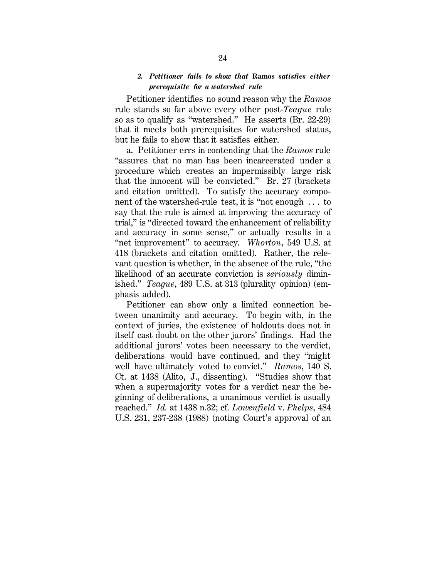#### *2. Petitioner fails to show that* **Ramos** *satisfies either prerequisite for a watershed rule*

Petitioner identifies no sound reason why the *Ramos*  rule stands so far above every other post-*Teague* rule so as to qualify as "watershed." He asserts (Br. 22-29) that it meets both prerequisites for watershed status, but he fails to show that it satisfies either.

a. Petitioner errs in contending that the *Ramos* rule "assures that no man has been incarcerated under a procedure which creates an impermissibly large risk that the innocent will be convicted." Br. 27 (brackets and citation omitted). To satisfy the accuracy component of the watershed-rule test, it is "not enough . . . to say that the rule is aimed at improving the accuracy of trial," is "directed toward the enhancement of reliability and accuracy in some sense," or actually results in a "net improvement" to accuracy. *Whorton*, 549 U.S. at 418 (brackets and citation omitted). Rather, the relevant question is whether, in the absence of the rule, "the likelihood of an accurate conviction is *seriously* diminished." *Teague*, 489 U.S. at 313 (plurality opinion) (emphasis added).

Petitioner can show only a limited connection between unanimity and accuracy. To begin with, in the context of juries, the existence of holdouts does not in itself cast doubt on the other jurors' findings. Had the additional jurors' votes been necessary to the verdict, deliberations would have continued, and they "might well have ultimately voted to convict." *Ramos*, 140 S. Ct. at 1438 (Alito, J., dissenting). "Studies show that when a supermajority votes for a verdict near the beginning of deliberations, a unanimous verdict is usually reached." *Id.* at 1438 n.32; cf. *Lowenfield* v. *Phelps*, 484 U.S. 231, 237-238 (1988) (noting Court's approval of an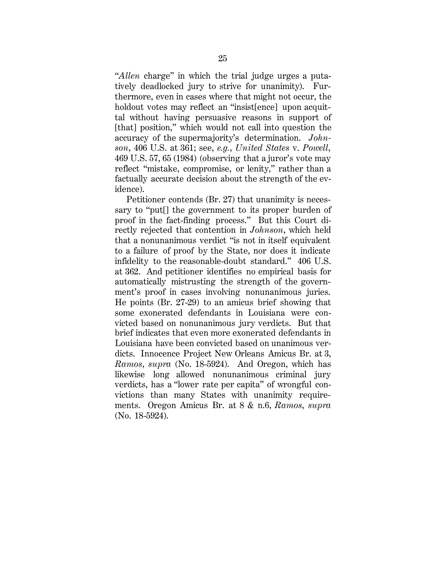"*Allen* charge" in which the trial judge urges a putatively deadlocked jury to strive for unanimity). Furthermore, even in cases where that might not occur, the holdout votes may reflect an "insist[ence] upon acquittal without having persuasive reasons in support of [that] position," which would not call into question the accuracy of the supermajority's determination. *Johnson*, 406 U.S. at 361; see, *e.g.*, *United States* v. *Powell*, 469 U.S. 57, 65 (1984) (observing that a juror's vote may reflect "mistake, compromise, or lenity," rather than a factually accurate decision about the strength of the evidence).

Petitioner contends (Br. 27) that unanimity is necessary to "put[] the government to its proper burden of proof in the fact-finding process." But this Court directly rejected that contention in *Johnson*, which held that a nonunanimous verdict "is not in itself equivalent to a failure of proof by the State, nor does it indicate infidelity to the reasonable-doubt standard." 406 U.S. at 362. And petitioner identifies no empirical basis for automatically mistrusting the strength of the government's proof in cases involving nonunanimous juries. He points (Br. 27-29) to an amicus brief showing that some exonerated defendants in Louisiana were convicted based on nonunanimous jury verdicts. But that brief indicates that even more exonerated defendants in Louisiana have been convicted based on unanimous verdicts. Innocence Project New Orleans Amicus Br. at 3, *Ramos*, *supra* (No. 18-5924). And Oregon, which has likewise long allowed nonunanimous criminal jury verdicts, has a "lower rate per capita" of wrongful convictions than many States with unanimity requirements. Oregon Amicus Br. at 8 & n.6, *Ramos*, *supra* (No. 18-5924).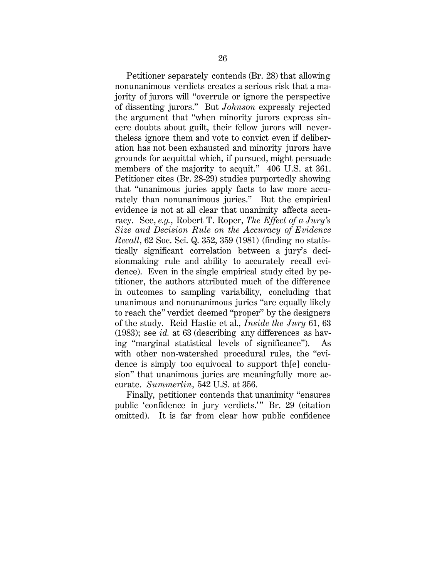Petitioner separately contends (Br. 28) that allowing nonunanimous verdicts creates a serious risk that a majority of jurors will "overrule or ignore the perspective of dissenting jurors." But *Johnson* expressly rejected the argument that "when minority jurors express sincere doubts about guilt, their fellow jurors will nevertheless ignore them and vote to convict even if deliberation has not been exhausted and minority jurors have grounds for acquittal which, if pursued, might persuade members of the majority to acquit." 406 U.S. at 361. Petitioner cites (Br. 28-29) studies purportedly showing that "unanimous juries apply facts to law more accurately than nonunanimous juries." But the empirical evidence is not at all clear that unanimity affects accuracy. See, *e.g.*, Robert T. Roper, *The Effect of a Jury's Size and Decision Rule on the Accuracy of Evidence Recall*, 62 Soc. Sci. Q. 352, 359 (1981) (finding no statistically significant correlation between a jury's decisionmaking rule and ability to accurately recall evidence). Even in the single empirical study cited by petitioner, the authors attributed much of the difference in outcomes to sampling variability, concluding that unanimous and nonunanimous juries "are equally likely to reach the" verdict deemed "proper" by the designers of the study. Reid Hastie et al., *Inside the Jury* 61, 63 (1983); see *id.* at 63 (describing any differences as having "marginal statistical levels of significance"). As with other non-watershed procedural rules, the "evidence is simply too equivocal to support th[e] conclusion" that unanimous juries are meaningfully more accurate. *Summerlin*, 542 U.S. at 356.

Finally, petitioner contends that unanimity "ensures public 'confidence in jury verdicts.'" Br. 29 (citation omitted). It is far from clear how public confidence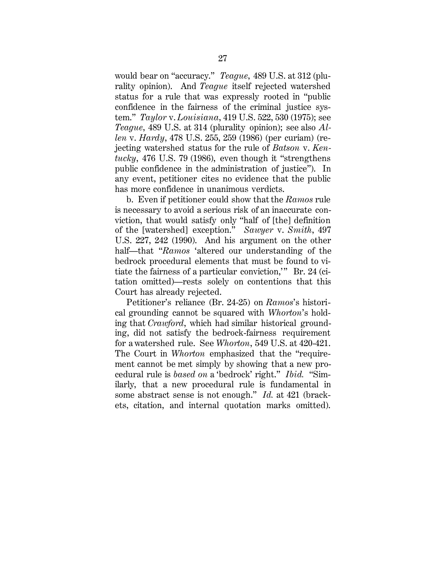would bear on "accuracy." *Teague*, 489 U.S. at 312 (plurality opinion). And *Teague* itself rejected watershed status for a rule that was expressly rooted in "public confidence in the fairness of the criminal justice system." *Taylor* v. *Louisiana*, 419 U.S. 522, 530 (1975); see *Teague*, 489 U.S. at 314 (plurality opinion); see also *Allen* v. *Hardy*, 478 U.S. 255, 259 (1986) (per curiam) (rejecting watershed status for the rule of *Batson* v. *Kentucky*, 476 U.S. 79 (1986), even though it "strengthens public confidence in the administration of justice"). In any event, petitioner cites no evidence that the public has more confidence in unanimous verdicts.

b. Even if petitioner could show that the *Ramos* rule is necessary to avoid a serious risk of an inaccurate conviction, that would satisfy only "half of [the] definition of the [watershed] exception." *Sawyer* v. *Smith*, 497 U.S. 227, 242 (1990). And his argument on the other half—that "*Ramos* 'altered our understanding of the bedrock procedural elements that must be found to vitiate the fairness of a particular conviction,'" Br. 24 (citation omitted)—rests solely on contentions that this Court has already rejected.

Petitioner's reliance (Br. 24-25) on *Ramos*'s historical grounding cannot be squared with *Whorton*'s holding that *Crawford*, which had similar historical grounding, did not satisfy the bedrock-fairness requirement for a watershed rule. See *Whorton*, 549 U.S. at 420-421. The Court in *Whorton* emphasized that the "requirement cannot be met simply by showing that a new procedural rule is *based on* a 'bedrock' right." *Ibid.* "Similarly, that a new procedural rule is fundamental in some abstract sense is not enough." *Id.* at 421 (brackets, citation, and internal quotation marks omitted).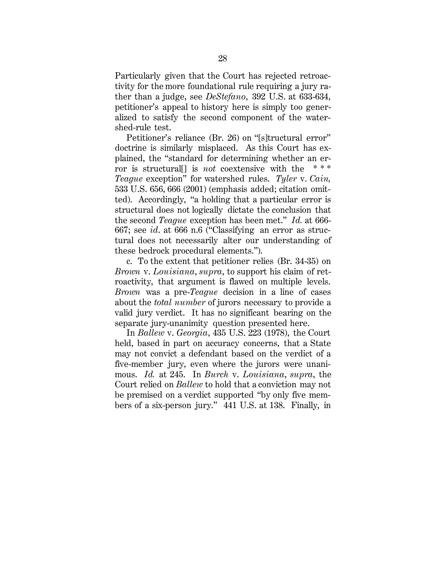Particularly given that the Court has rejected retroactivity for the more foundational rule requiring a jury rather than a judge, see *DeStefano*, 392 U.S. at 633-634, petitioner's appeal to history here is simply too generalized to satisfy the second component of the watershed-rule test.

Petitioner's reliance (Br. 26) on "[s]tructural error" doctrine is similarly misplaced. As this Court has explained, the "standard for determining whether an error is structural<sup>[]</sup> is *not* coextensive with the *Teague* exception" for watershed rules. *Tyler* v. *Cain,* 533 U.S. 656, 666 (2001) (emphasis added; citation omitted). Accordingly, "a holding that a particular error is structural does not logically dictate the conclusion that the second *Teague* exception has been met." *Id.* at 666- 667; see *id*. at 666 n.6 ("Classifying an error as structural does not necessarily alter our understanding of these bedrock procedural elements.").

c. To the extent that petitioner relies (Br. 34-35) on *Brown* v. *Louisiana*, *supra*, to support his claim of retroactivity, that argument is flawed on multiple levels. *Brown* was a pre-*Teague* decision in a line of cases about the *total number* of jurors necessary to provide a valid jury verdict. It has no significant bearing on the separate jury-unanimity question presented here.

In *Ballew* v. *Georgia*, 435 U.S. 223 (1978), the Court held, based in part on accuracy concerns, that a State may not convict a defendant based on the verdict of a five-member jury, even where the jurors were unanimous. *Id.* at 245. In *Burch* v. *Louisiana*, *supra*, the Court relied on *Ballew* to hold that a conviction may not be premised on a verdict supported "by only five members of a six-person jury." 441 U.S. at 138. Finally, in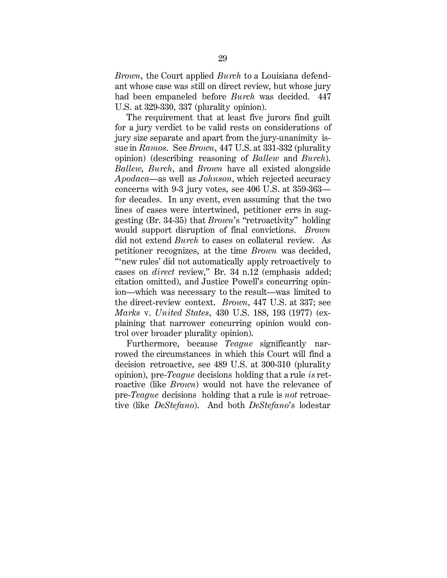*Brown*, the Court applied *Burch* to a Louisiana defendant whose case was still on direct review, but whose jury had been empaneled before *Burch* was decided. 447 U.S. at 329-330, 337 (plurality opinion).

The requirement that at least five jurors find guilt for a jury verdict to be valid rests on considerations of jury size separate and apart from the jury-unanimity issue in *Ramos*. See *Brown*, 447 U.S. at 331-332 (plurality opinion) (describing reasoning of *Ballew* and *Burch*). *Ballew*, *Burch*, and *Brown* have all existed alongside *Apodaca*—as well as *Johnson*, which rejected accuracy concerns with 9-3 jury votes, see 406 U.S. at 359-363 for decades. In any event, even assuming that the two lines of cases were intertwined, petitioner errs in suggesting (Br. 34-35) that *Brown*'s "retroactivity" holding would support disruption of final convictions. *Brown* did not extend *Burch* to cases on collateral review. As petitioner recognizes, at the time *Brown* was decided, "'new rules' did not automatically apply retroactively to cases on *direct* review," Br. 34 n.12 (emphasis added; citation omitted), and Justice Powell's concurring opinion—which was necessary to the result—was limited to the direct-review context. *Brown*, 447 U.S. at 337; see *Marks* v. *United States*, 430 U.S. 188, 193 (1977) (explaining that narrower concurring opinion would control over broader plurality opinion).

Furthermore, because *Teague* significantly narrowed the circumstances in which this Court will find a decision retroactive, see 489 U.S. at 300-310 (plurality opinion), pre-*Teague* decisions holding that a rule *is* retroactive (like *Brown*) would not have the relevance of pre-*Teague* decisions holding that a rule is *not* retroactive (like *DeStefano*). And both *DeStefano*'s lodestar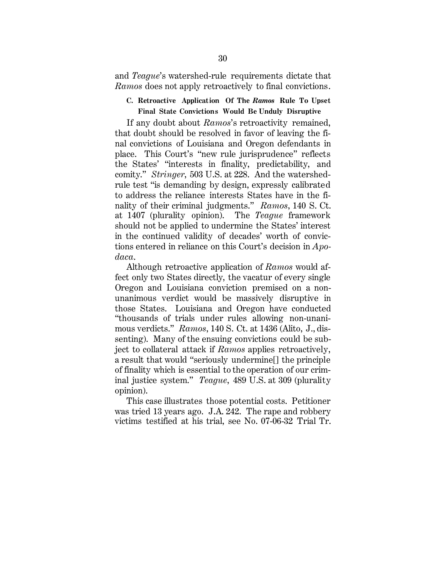and *Teague*'s watershed-rule requirements dictate that *Ramos* does not apply retroactively to final convictions.

#### **C. Retroactive Application Of The** *Ramos* **Rule To Upset Final State Convictions Would Be Unduly Disruptive**

If any doubt about *Ramos*'s retroactivity remained, that doubt should be resolved in favor of leaving the final convictions of Louisiana and Oregon defendants in place. This Court's "new rule jurisprudence" reflects the States' "interests in finality, predictability, and comity." *Stringer*, 503 U.S. at 228. And the watershedrule test "is demanding by design, expressly calibrated to address the reliance interests States have in the finality of their criminal judgments." *Ramos*, 140 S. Ct. at 1407 (plurality opinion). The *Teague* framework should not be applied to undermine the States' interest in the continued validity of decades' worth of convictions entered in reliance on this Court's decision in *Apodaca*.

Although retroactive application of *Ramos* would affect only two States directly, the vacatur of every single Oregon and Louisiana conviction premised on a nonunanimous verdict would be massively disruptive in those States. Louisiana and Oregon have conducted "thousands of trials under rules allowing non-unanimous verdicts." *Ramos*, 140 S. Ct. at 1436 (Alito, J., dissenting). Many of the ensuing convictions could be subject to collateral attack if *Ramos* applies retroactively, a result that would "seriously undermine[] the principle of finality which is essential to the operation of our criminal justice system." *Teague*, 489 U.S. at 309 (plurality opinion).

This case illustrates those potential costs. Petitioner was tried 13 years ago. J.A. 242. The rape and robbery victims testified at his trial, see No. 07-06-32 Trial Tr.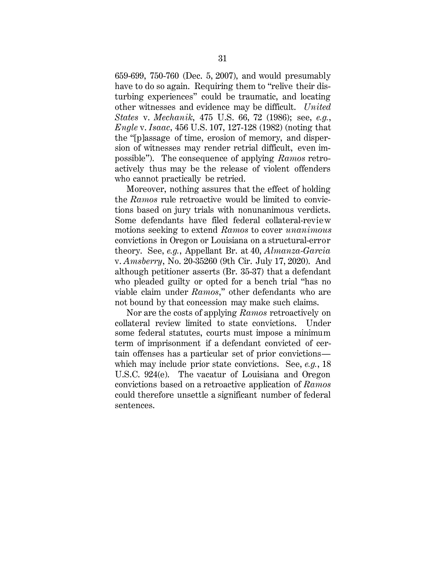659-699, 750-760 (Dec. 5, 2007), and would presumably have to do so again. Requiring them to "relive their disturbing experiences" could be traumatic, and locating other witnesses and evidence may be difficult. *United States* v. *Mechanik*, 475 U.S. 66, 72 (1986); see, *e.g.*, *Engle* v. *Isaac*, 456 U.S. 107, 127-128 (1982) (noting that the "[p]assage of time, erosion of memory, and dispersion of witnesses may render retrial difficult, even impossible"). The consequence of applying *Ramos* retroactively thus may be the release of violent offenders who cannot practically be retried.

Moreover, nothing assures that the effect of holding the *Ramos* rule retroactive would be limited to convictions based on jury trials with nonunanimous verdicts. Some defendants have filed federal collateral-revie w motions seeking to extend *Ramos* to cover *unanimous* convictions in Oregon or Louisiana on a structural-error theory. See, *e.g.*, Appellant Br. at 40, *Almanza-Garcia* v. *Amsberry*, No. 20-35260 (9th Cir. July 17, 2020). And although petitioner asserts (Br. 35-37) that a defendant who pleaded guilty or opted for a bench trial "has no viable claim under *Ramos*," other defendants who are not bound by that concession may make such claims.

Nor are the costs of applying *Ramos* retroactively on collateral review limited to state convictions. Under some federal statutes, courts must impose a minimum term of imprisonment if a defendant convicted of certain offenses has a particular set of prior convictions which may include prior state convictions. See, *e.g.*, 18 U.S.C. 924(e). The vacatur of Louisiana and Oregon convictions based on a retroactive application of *Ramos* could therefore unsettle a significant number of federal sentences.